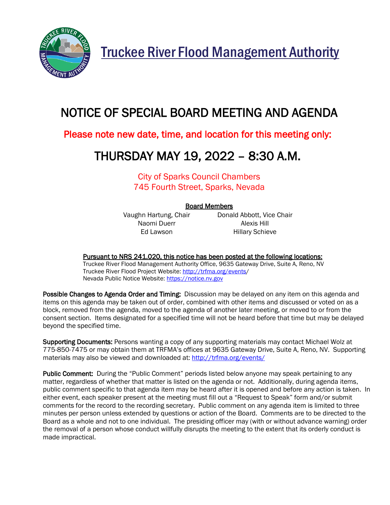

Truckee River Flood Management Authority

# NOTICE OF SPECIAL BOARD MEETING AND AGENDA

### Please note new date, time, and location for this meeting only:

## THURSDAY MAY 19, 2022 – 8:30 A.M.

City of Sparks Council Chambers 745 Fourth Street, Sparks, Nevada

#### Board Members

Naomi Duerr **Alexis Hill** 

Vaughn Hartung, Chair **Donald Abbott, Vice Chair** Ed Lawson **Hillary Schieve** 

#### Pursuant to NRS 241.020, this notice has been posted at the following locations:

Truckee River Flood Management Authority Office, 9635 Gateway Drive, Suite A, Reno, NV Truckee River Flood Project Website: [http://trfma.org/events/](http://trfma.org/events) Nevada Public Notice Website[: https://notice.nv.gov](https://notice.nv.gov/)

Possible Changes to Agenda Order and Timing: Discussion may be delayed on any item on this agenda and items on this agenda may be taken out of order, combined with other items and discussed or voted on as a block, removed from the agenda, moved to the agenda of another later meeting, or moved to or from the consent section. Items designated for a specified time will not be heard before that time but may be delayed beyond the specified time.

Supporting Documents: Persons wanting a copy of any supporting materials may contact Michael Wolz at 775-850-7475 or may obtain them at TRFMA's offices at 9635 Gateway Drive, Suite A, Reno, NV. Supporting materials may also be viewed and downloaded at:<http://trfma.org/events/>

Public Comment: During the "Public Comment" periods listed below anyone may speak pertaining to any matter, regardless of whether that matter is listed on the agenda or not. Additionally, during agenda items, public comment specific to that agenda item may be heard after it is opened and before any action is taken. In either event, each speaker present at the meeting must fill out a "Request to Speak" form and/or submit comments for the record to the recording secretary. Public comment on any agenda item is limited to three minutes per person unless extended by questions or action of the Board. Comments are to be directed to the Board as a whole and not to one individual. The presiding officer may (with or without advance warning) order the removal of a person whose conduct willfully disrupts the meeting to the extent that its orderly conduct is made impractical.